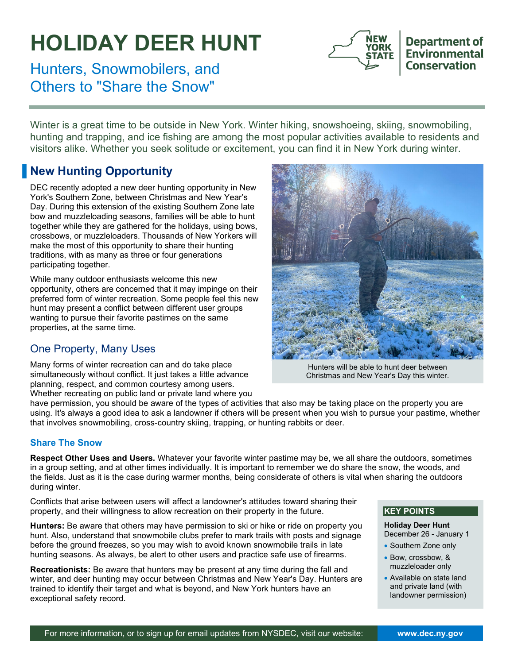# **HOLIDAY DEER HUNT**

**YORK** 

**Department of** Environmental **Conservation** 

Hunters, Snowmobilers, and Others to "Share the Snow"

Winter is a great time to be outside in New York. Winter hiking, snowshoeing, skiing, snowmobiling, hunting and trapping, and ice fishing are among the most popular activities available to residents and visitors alike. Whether you seek solitude or excitement, you can find it in New York during winter.

## **New Hunting Opportunity**

DEC recently adopted a new deer hunting opportunity in New York's Southern Zone, between Christmas and New Year's Day. During this extension of the existing Southern Zone late bow and muzzleloading seasons, families will be able to hunt together while they are gathered for the holidays, using bows, crossbows, or muzzleloaders. Thousands of New Yorkers will make the most of this opportunity to share their hunting traditions, with as many as three or four generations participating together.

While many outdoor enthusiasts welcome this new opportunity, others are concerned that it may impinge on their preferred form of winter recreation. Some people feel this new hunt may present a conflict between different user groups wanting to pursue their favorite pastimes on the same properties, at the same time.

### One Property, Many Uses

Many forms of winter recreation can and do take place simultaneously without conflict. It just takes a little advance planning, respect, and common courtesy among users. Whether recreating on public land or private land where you



Hunters will be able to hunt deer between Christmas and New Year's Day this winter.

have permission, you should be aware of the types of activities that also may be taking place on the property you are using. It's always a good idea to ask a landowner if others will be present when you wish to pursue your pastime, whether that involves snowmobiling, cross-country skiing, trapping, or hunting rabbits or deer.

#### **Share The Snow**

**Respect Other Uses and Users.** Whatever your favorite winter pastime may be, we all share the outdoors, sometimes in a group setting, and at other times individually. It is important to remember we do share the snow, the woods, and the fields. Just as it is the case during warmer months, being considerate of others is vital when sharing the outdoors during winter.

Conflicts that arise between users will affect a landowner's attitudes toward sharing their property, and their willingness to allow recreation on their property in the future.

**Hunters:** Be aware that others may have permission to ski or hike or ride on property you hunt. Also, understand that snowmobile clubs prefer to mark trails with posts and signage before the ground freezes, so you may wish to avoid known snowmobile trails in late hunting seasons. As always, be alert to other users and practice safe use of firearms.

**Recreationists:** Be aware that hunters may be present at any time during the fall and winter, and deer hunting may occur between Christmas and New Year's Day. Hunters are trained to identify their target and what is beyond, and New York hunters have an exceptional safety record.

#### **KEY POINTS**

**Holiday Deer Hunt**  December 26 - January 1

- Southern Zone only
- Bow, crossbow, & muzzleloader only
- Available on state land and private land (with landowner permission)